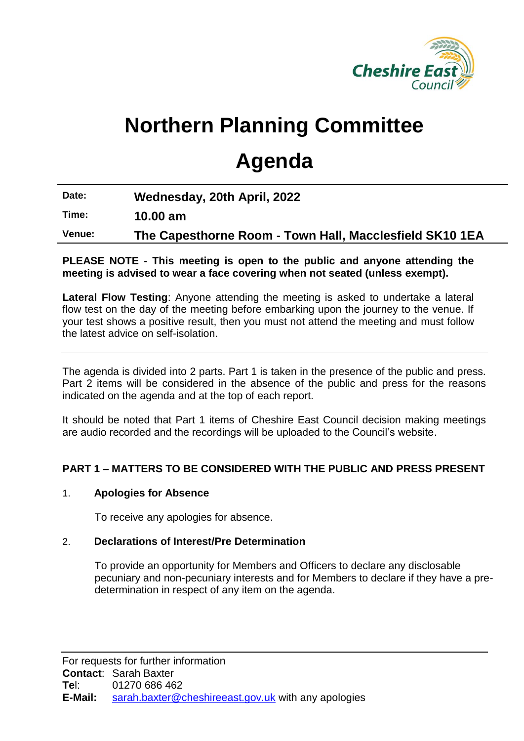

# **Northern Planning Committee**

## **Agenda**

**Date: Wednesday, 20th April, 2022**

**Time: 10.00 am**

**Venue: The Capesthorne Room - Town Hall, Macclesfield SK10 1EA**

#### **PLEASE NOTE - This meeting is open to the public and anyone attending the meeting is advised to wear a face covering when not seated (unless exempt).**

**Lateral Flow Testing**: Anyone attending the meeting is asked to undertake a lateral flow test on the day of the meeting before embarking upon the journey to the venue. If your test shows a positive result, then you must not attend the meeting and must follow the latest advice on self-isolation.

The agenda is divided into 2 parts. Part 1 is taken in the presence of the public and press. Part 2 items will be considered in the absence of the public and press for the reasons indicated on the agenda and at the top of each report.

It should be noted that Part 1 items of Cheshire East Council decision making meetings are audio recorded and the recordings will be uploaded to the Council's website.

### **PART 1 – MATTERS TO BE CONSIDERED WITH THE PUBLIC AND PRESS PRESENT**

#### 1. **Apologies for Absence**

To receive any apologies for absence.

#### 2. **Declarations of Interest/Pre Determination**

To provide an opportunity for Members and Officers to declare any disclosable pecuniary and non-pecuniary interests and for Members to declare if they have a predetermination in respect of any item on the agenda.